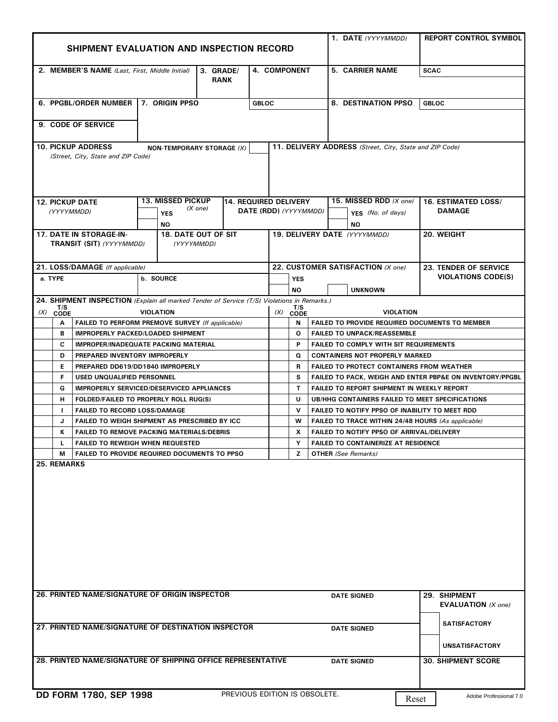|                                                                                                                            |                                                     | SHIPMENT EVALUATION AND INSPECTION RECORD                                                   |                          |                               | 1. DATE (YYYYMMDD)                                                                                                | <b>REPORT CONTROL SYMBOL</b>                              |  |  |  |  |  |
|----------------------------------------------------------------------------------------------------------------------------|-----------------------------------------------------|---------------------------------------------------------------------------------------------|--------------------------|-------------------------------|-------------------------------------------------------------------------------------------------------------------|-----------------------------------------------------------|--|--|--|--|--|
|                                                                                                                            |                                                     |                                                                                             |                          |                               |                                                                                                                   |                                                           |  |  |  |  |  |
|                                                                                                                            | 2. MEMBER'S NAME (Last, First, Middle Initial)      |                                                                                             | 3. GRADE/<br><b>RANK</b> | <b>4. COMPONENT</b>           | <b>5. CARRIER NAME</b>                                                                                            | <b>SCAC</b>                                               |  |  |  |  |  |
|                                                                                                                            | 6. PPGBL/ORDER NUMBER 7. ORIGIN PPSO                |                                                                                             |                          | <b>GBLOC</b>                  | 8. DESTINATION PPSO                                                                                               | <b>GBLOC</b>                                              |  |  |  |  |  |
|                                                                                                                            | 9. CODE OF SERVICE                                  |                                                                                             |                          |                               |                                                                                                                   |                                                           |  |  |  |  |  |
| <b>10. PICKUP ADDRESS</b>                                                                                                  |                                                     |                                                                                             |                          |                               |                                                                                                                   |                                                           |  |  |  |  |  |
| 11. DELIVERY ADDRESS (Street, City, State and ZIP Code)<br>NON-TEMPORARY STORAGE (X)<br>(Street, City, State and ZIP Code) |                                                     |                                                                                             |                          |                               |                                                                                                                   |                                                           |  |  |  |  |  |
| <b>12. PICKUP DATE</b>                                                                                                     |                                                     | <b>13. MISSED PICKUP</b>                                                                    |                          | 14. REQUIRED DELIVERY         | 15. MISSED RDD (X one)                                                                                            | <b>16. ESTIMATED LOSS/</b>                                |  |  |  |  |  |
| (YYYYMMDD)                                                                                                                 |                                                     | (X one)<br><b>YES</b><br>NO.                                                                |                          | DATE (RDD) (YYYYMMDD)         | YFS (No. of days)<br>ΝO                                                                                           | <b>DAMAGE</b>                                             |  |  |  |  |  |
|                                                                                                                            | 17. DATE IN STORAGE-IN-<br>TRANSIT (SIT) (YYYYMMDD) | <b>18. DATE OUT OF SIT</b><br>(YYYYMMDD)                                                    |                          |                               | 19. DELIVERY DATE (YYYYMMDD)                                                                                      | 20. WEIGHT                                                |  |  |  |  |  |
|                                                                                                                            | 21. LOSS/DAMAGE (If applicable)                     |                                                                                             |                          |                               | 22. CUSTOMER SATISFACTION (X one)                                                                                 |                                                           |  |  |  |  |  |
| a. TYPE                                                                                                                    |                                                     | b. SOURCE                                                                                   |                          |                               |                                                                                                                   | <b>23. TENDER OF SERVICE</b><br><b>VIOLATIONS CODE(S)</b> |  |  |  |  |  |
|                                                                                                                            |                                                     |                                                                                             |                          | <b>YES</b>                    | <b>UNKNOWN</b>                                                                                                    |                                                           |  |  |  |  |  |
|                                                                                                                            |                                                     | 24. SHIPMENT INSPECTION (Explain all marked Tender of Service (T/S) Violations in Remarks.) |                          | <b>NO</b>                     |                                                                                                                   |                                                           |  |  |  |  |  |
| $(X)$ $\overline{C}$ CODE                                                                                                  |                                                     | <b>VIOLATION</b>                                                                            |                          | T/S<br>(X)                    |                                                                                                                   |                                                           |  |  |  |  |  |
| A                                                                                                                          |                                                     | FAILED TO PERFORM PREMOVE SURVEY (If applicable)                                            |                          | <b>CODE</b><br>N              | <b>VIOLATION</b><br><b>FAILED TO PROVIDE REQUIRED DOCUMENTS TO MEMBER</b>                                         |                                                           |  |  |  |  |  |
| B                                                                                                                          |                                                     | <b>IMPROPERLY PACKED/LOADED SHIPMENT</b>                                                    |                          | O                             | <b>FAILED TO UNPACK/REASSEMBLE</b>                                                                                |                                                           |  |  |  |  |  |
| C                                                                                                                          |                                                     |                                                                                             |                          | P                             | <b>FAILED TO COMPLY WITH SIT REQUIREMENTS</b>                                                                     |                                                           |  |  |  |  |  |
|                                                                                                                            |                                                     | <b>IMPROPER/INADEQUATE PACKING MATERIAL</b>                                                 |                          |                               | <b>CONTAINERS NOT PROPERLY MARKED</b>                                                                             |                                                           |  |  |  |  |  |
| D                                                                                                                          | PREPARED INVENTORY IMPROPERLY                       |                                                                                             |                          | Q                             | <b>FAILED TO PROTECT CONTAINERS FROM WEATHER</b>                                                                  |                                                           |  |  |  |  |  |
| E                                                                                                                          |                                                     | PREPARED DD619/DD1840 IMPROPERLY                                                            |                          | R                             |                                                                                                                   |                                                           |  |  |  |  |  |
| F                                                                                                                          | USED UNQUALIFIED PERSONNEL                          |                                                                                             |                          | s                             | <b>FAILED TO PACK, WEIGH AND ENTER PBP&amp;E ON INVENTORY/PPGBL</b><br>FAILED TO REPORT SHIPMENT IN WEEKLY REPORT |                                                           |  |  |  |  |  |
| G                                                                                                                          |                                                     | <b>IMPROPERLY SERVICED/DESERVICED APPLIANCES</b>                                            |                          | $\mathbf{T}$                  |                                                                                                                   |                                                           |  |  |  |  |  |
| н                                                                                                                          |                                                     | FOLDED/FAILED TO PROPERLY ROLL RUG(S)                                                       |                          | U                             | UB/HHG CONTAINERS FAILED TO MEET SPECIFICATIONS                                                                   |                                                           |  |  |  |  |  |
| $\blacksquare$                                                                                                             | <b>FAILED TO RECORD LOSS/DAMAGE</b>                 |                                                                                             |                          | $\mathbf v$                   | FAILED TO NOTIFY PPSO OF INABILITY TO MEET RDD                                                                    |                                                           |  |  |  |  |  |
| J                                                                                                                          |                                                     | FAILED TO WEIGH SHIPMENT AS PRESCRIBED BY ICC                                               |                          | W                             | FAILED TO TRACE WITHIN 24/48 HOURS (As applicable)                                                                |                                                           |  |  |  |  |  |
| К                                                                                                                          |                                                     | <b>FAILED TO REMOVE PACKING MATERIALS/DEBRIS</b>                                            |                          | X                             | FAILED TO NOTIFY PPSO OF ARRIVAL/DELIVERY                                                                         |                                                           |  |  |  |  |  |
| L                                                                                                                          |                                                     | <b>FAILED TO REWEIGH WHEN REQUESTED</b>                                                     |                          | Y                             | <b>FAILED TO CONTAINERIZE AT RESIDENCE</b>                                                                        |                                                           |  |  |  |  |  |
| М<br><b>25. REMARKS</b>                                                                                                    |                                                     | <b>FAILED TO PROVIDE REQUIRED DOCUMENTS TO PPSO</b>                                         |                          | z                             | <b>OTHER</b> (See Remarks)                                                                                        |                                                           |  |  |  |  |  |
|                                                                                                                            |                                                     |                                                                                             |                          |                               |                                                                                                                   |                                                           |  |  |  |  |  |
|                                                                                                                            |                                                     | 26. PRINTED NAME/SIGNATURE OF ORIGIN INSPECTOR                                              |                          |                               | <b>DATE SIGNED</b>                                                                                                | 29. SHIPMENT<br><b>EVALUATION</b> (X one)                 |  |  |  |  |  |
|                                                                                                                            |                                                     | 27. PRINTED NAME/SIGNATURE OF DESTINATION INSPECTOR                                         |                          |                               | <b>DATE SIGNED</b>                                                                                                | <b>SATISFACTORY</b>                                       |  |  |  |  |  |
|                                                                                                                            |                                                     | 28. PRINTED NAME/SIGNATURE OF SHIPPING OFFICE REPRESENTATIVE                                |                          |                               | <b>DATE SIGNED</b>                                                                                                | <b>UNSATISFACTORY</b><br><b>30. SHIPMENT SCORE</b>        |  |  |  |  |  |
|                                                                                                                            | DD FORM 1780, SEP 1998                              |                                                                                             |                          | PREVIOUS EDITION IS OBSOLETE. |                                                                                                                   | Adobe Professional 7.0                                    |  |  |  |  |  |
|                                                                                                                            |                                                     |                                                                                             |                          |                               |                                                                                                                   | Reset                                                     |  |  |  |  |  |